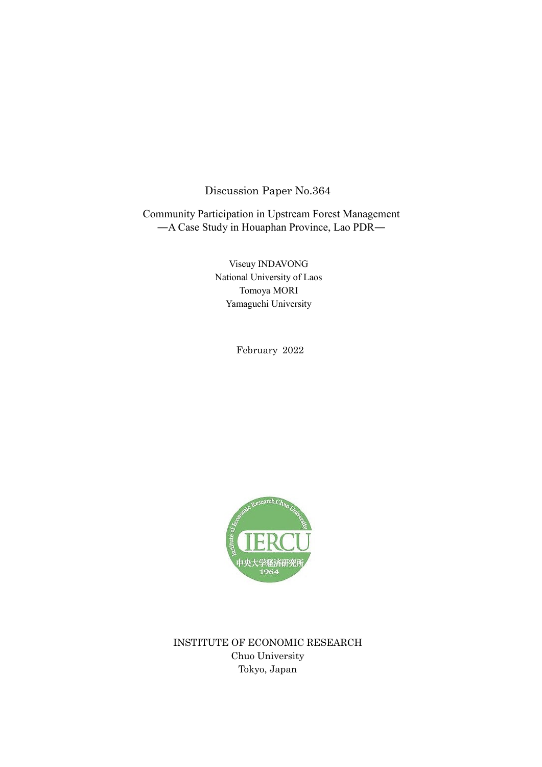# Discussion Paper No.364

Community Participation in Upstream Forest Management ―A Case Study in Houaphan Province, Lao PDR―

> Viseuy INDAVONG National University of Laos Tomoya MORI Yamaguchi University

> > February 2022



INSTITUTE OF ECONOMIC RESEARCH Chuo University Tokyo, Japan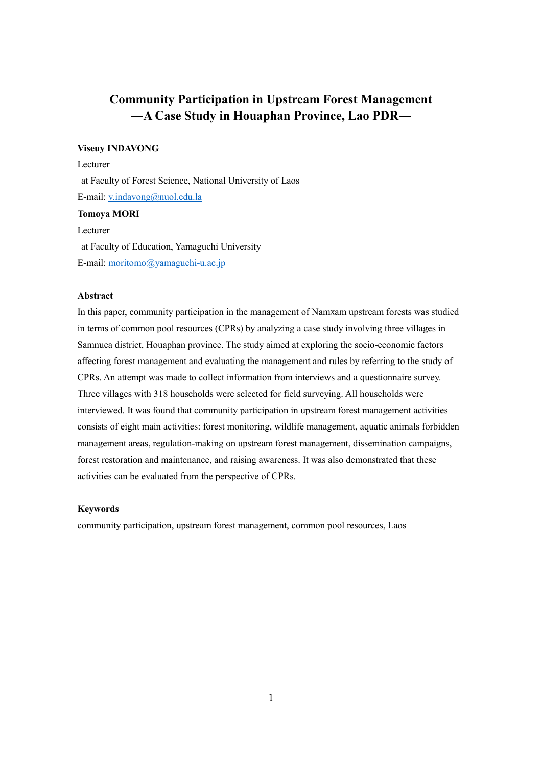# **Community Participation in Upstream Forest Management ―A Case Study in Houaphan Province, Lao PDR―**

### **Viseuy INDAVONG**

Lecturer at Faculty of Forest Science, National University of Laos E-mail: [v.indavong@nuol.edu.la](mailto:v.indavong@nuol.edu.la) **Tomoya MORI** Lecturer

at Faculty of Education, Yamaguchi University E-mail: [moritomo@yamaguchi-u.ac.jp](mailto:moritomo@yamaguchi-u.ac.jp)

# **Abstract**

In this paper, community participation in the management of Namxam upstream forests was studied in terms of common pool resources (CPRs) by analyzing a case study involving three villages in Samnuea district, Houaphan province. The study aimed at exploring the socio-economic factors affecting forest management and evaluating the management and rules by referring to the study of CPRs. An attempt was made to collect information from interviews and a questionnaire survey. Three villages with 318 households were selected for field surveying. All households were interviewed. It was found that community participation in upstream forest management activities consists of eight main activities: forest monitoring, wildlife management, aquatic animals forbidden management areas, regulation-making on upstream forest management, dissemination campaigns, forest restoration and maintenance, and raising awareness. It was also demonstrated that these activities can be evaluated from the perspective of CPRs.

# **Keywords**

community participation, upstream forest management, common pool resources, Laos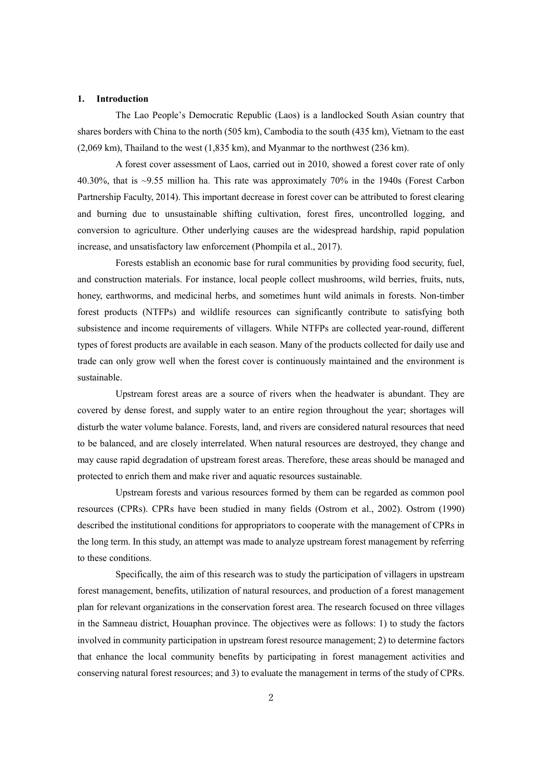#### **1. Introduction**

The Lao People's Democratic Republic (Laos) is a landlocked South Asian country that shares borders with China to the north (505 km), Cambodia to the south (435 km), Vietnam to the east (2,069 km), Thailand to the west (1,835 km), and Myanmar to the northwest (236 km).

A forest cover assessment of Laos, carried out in 2010, showed a forest cover rate of only 40.30%, that is ~9.55 million ha. This rate was approximately 70% in the 1940s (Forest Carbon Partnership Faculty, 2014). This important decrease in forest cover can be attributed to forest clearing and burning due to unsustainable shifting cultivation, forest fires, uncontrolled logging, and conversion to agriculture. Other underlying causes are the widespread hardship, rapid population increase, and unsatisfactory law enforcement (Phompila et al., 2017).

Forests establish an economic base for rural communities by providing food security, fuel, and construction materials. For instance, local people collect mushrooms, wild berries, fruits, nuts, honey, earthworms, and medicinal herbs, and sometimes hunt wild animals in forests. Non-timber forest products (NTFPs) and wildlife resources can significantly contribute to satisfying both subsistence and income requirements of villagers. While NTFPs are collected year-round, different types of forest products are available in each season. Many of the products collected for daily use and trade can only grow well when the forest cover is continuously maintained and the environment is sustainable.

Upstream forest areas are a source of rivers when the headwater is abundant. They are covered by dense forest, and supply water to an entire region throughout the year; shortages will disturb the water volume balance. Forests, land, and rivers are considered natural resources that need to be balanced, and are closely interrelated. When natural resources are destroyed, they change and may cause rapid degradation of upstream forest areas. Therefore, these areas should be managed and protected to enrich them and make river and aquatic resources sustainable.

Upstream forests and various resources formed by them can be regarded as common pool resources (CPRs). CPRs have been studied in many fields (Ostrom et al., 2002). Ostrom (1990) described the institutional conditions for appropriators to cooperate with the management of CPRs in the long term. In this study, an attempt was made to analyze upstream forest management by referring to these conditions.

Specifically, the aim of this research was to study the participation of villagers in upstream forest management, benefits, utilization of natural resources, and production of a forest management plan for relevant organizations in the conservation forest area. The research focused on three villages in the Samneau district, Houaphan province. The objectives were as follows: 1) to study the factors involved in community participation in upstream forest resource management; 2) to determine factors that enhance the local community benefits by participating in forest management activities and conserving natural forest resources; and 3) to evaluate the management in terms of the study of CPRs.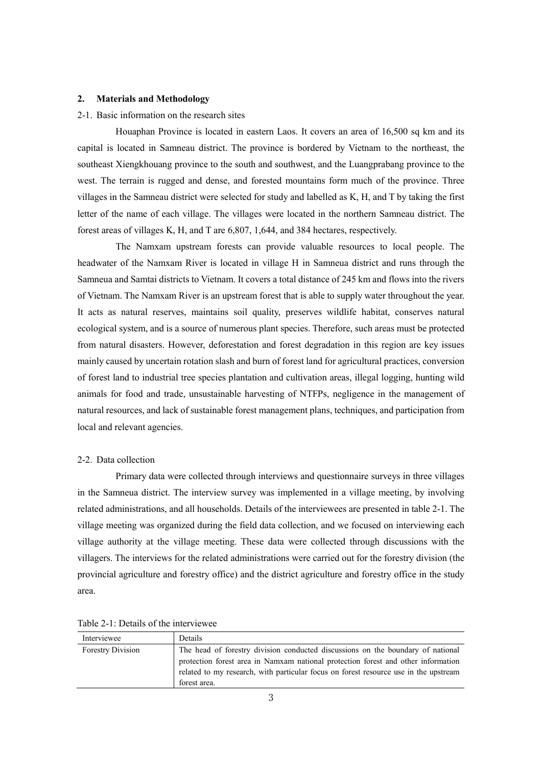### **2. Materials and Methodology**

### 2-1. Basic information on the research sites

Houaphan Province is located in eastern Laos. It covers an area of 16,500 sq km and its capital is located in Samneau district. The province is bordered by Vietnam to the northeast, the southeast Xiengkhouang province to the south and southwest, and the Luangprabang province to the west. The terrain is rugged and dense, and forested mountains form much of the province. Three villages in the Samneau district were selected for study and labelled as K, H, and T by taking the first letter of the name of each village. The villages were located in the northern Samneau district. The forest areas of villages K, H, and T are 6,807, 1,644, and 384 hectares, respectively.

The Namxam upstream forests can provide valuable resources to local people. The headwater of the Namxam River is located in village H in Samneua district and runs through the Samneua and Samtai districts to Vietnam. It covers a total distance of 245 km and flows into the rivers of Vietnam. The Namxam River is an upstream forest that is able to supply water throughout the year. It acts as natural reserves, maintains soil quality, preserves wildlife habitat, conserves natural ecological system, and is a source of numerous plant species. Therefore, such areas must be protected from natural disasters. However, deforestation and forest degradation in this region are key issues mainly caused by uncertain rotation slash and burn of forest land for agricultural practices, conversion of forest land to industrial tree species plantation and cultivation areas, illegal logging, hunting wild animals for food and trade, unsustainable harvesting of NTFPs, negligence in the management of natural resources, and lack of sustainable forest management plans, techniques, and participation from local and relevant agencies.

### 2-2. Data collection

Primary data were collected through interviews and questionnaire surveys in three villages in the Samneua district. The interview survey was implemented in a village meeting, by involving related administrations, and all households. Details of the interviewees are presented in table 2-1. The village meeting was organized during the field data collection, and we focused on interviewing each village authority at the village meeting. These data were collected through discussions with the villagers. The interviews for the related administrations were carried out for the forestry division (the provincial agriculture and forestry office) and the district agriculture and forestry office in the study area.

| The head of forestry division conducted discussions on the boundary of national<br><b>Forestry Division</b><br>protection forest area in Namxam national protection forest and other information<br>related to my research, with particular focus on forest resource use in the upstream<br>forest area. | Interviewee | Details |
|----------------------------------------------------------------------------------------------------------------------------------------------------------------------------------------------------------------------------------------------------------------------------------------------------------|-------------|---------|
|                                                                                                                                                                                                                                                                                                          |             |         |

Table 2-1: Details of the interviewee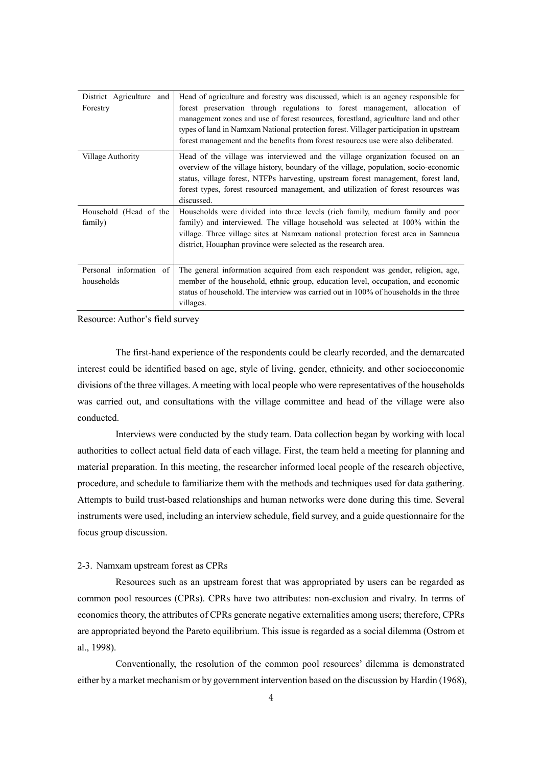| District Agriculture and<br>Forestry  | Head of agriculture and forestry was discussed, which is an agency responsible for<br>forest preservation through regulations to forest management, allocation of<br>management zones and use of forest resources, forestland, agriculture land and other<br>types of land in Namxam National protection forest. Villager participation in upstream<br>forest management and the benefits from forest resources use were also deliberated. |
|---------------------------------------|--------------------------------------------------------------------------------------------------------------------------------------------------------------------------------------------------------------------------------------------------------------------------------------------------------------------------------------------------------------------------------------------------------------------------------------------|
| Village Authority                     | Head of the village was interviewed and the village organization focused on an<br>overview of the village history, boundary of the village, population, socio-economic<br>status, village forest, NTFPs harvesting, upstream forest management, forest land,<br>forest types, forest resourced management, and utilization of forest resources was<br>discussed.                                                                           |
| Household (Head of the<br>family)     | Households were divided into three levels (rich family, medium family and poor<br>family) and interviewed. The village household was selected at 100% within the<br>village. Three village sites at Namxam national protection forest area in Samneua<br>district, Houaphan province were selected as the research area.                                                                                                                   |
| Personal information of<br>households | The general information acquired from each respondent was gender, religion, age,<br>member of the household, ethnic group, education level, occupation, and economic<br>status of household. The interview was carried out in 100% of households in the three<br>villages.                                                                                                                                                                 |

Resource: Author's field survey

The first-hand experience of the respondents could be clearly recorded, and the demarcated interest could be identified based on age, style of living, gender, ethnicity, and other socioeconomic divisions of the three villages. A meeting with local people who were representatives of the households was carried out, and consultations with the village committee and head of the village were also conducted.

Interviews were conducted by the study team. Data collection began by working with local authorities to collect actual field data of each village. First, the team held a meeting for planning and material preparation. In this meeting, the researcher informed local people of the research objective, procedure, and schedule to familiarize them with the methods and techniques used for data gathering. Attempts to build trust-based relationships and human networks were done during this time. Several instruments were used, including an interview schedule, field survey, and a guide questionnaire for the focus group discussion.

# 2-3. Namxam upstream forest as CPRs

Resources such as an upstream forest that was appropriated by users can be regarded as common pool resources (CPRs). CPRs have two attributes: non-exclusion and rivalry. In terms of economics theory, the attributes of CPRs generate negative externalities among users; therefore, CPRs are appropriated beyond the Pareto equilibrium. This issue is regarded as a social dilemma (Ostrom et al., 1998).

Conventionally, the resolution of the common pool resources' dilemma is demonstrated either by a market mechanism or by government intervention based on the discussion by Hardin (1968),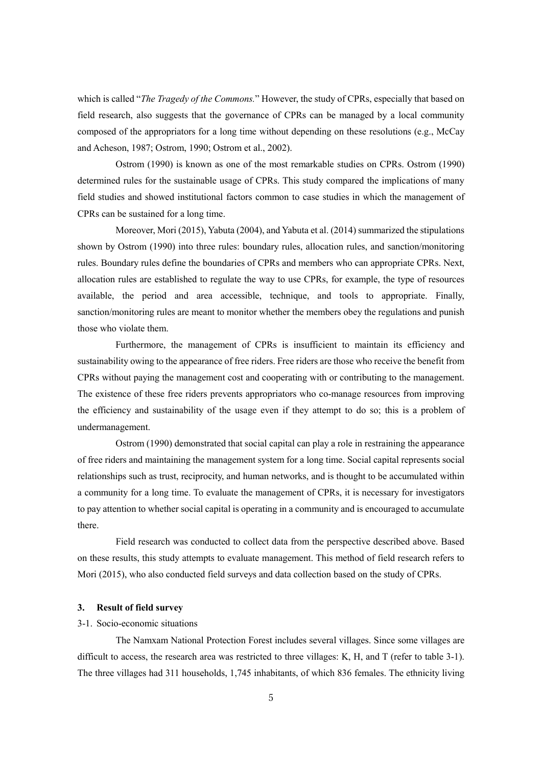which is called "*The Tragedy of the Commons.*" However, the study of CPRs, especially that based on field research, also suggests that the governance of CPRs can be managed by a local community composed of the appropriators for a long time without depending on these resolutions (e.g., McCay and Acheson, 1987; Ostrom, 1990; Ostrom et al., 2002).

Ostrom (1990) is known as one of the most remarkable studies on CPRs. Ostrom (1990) determined rules for the sustainable usage of CPRs. This study compared the implications of many field studies and showed institutional factors common to case studies in which the management of CPRs can be sustained for a long time.

Moreover, Mori (2015), Yabuta (2004), and Yabuta et al. (2014) summarized the stipulations shown by Ostrom (1990) into three rules: boundary rules, allocation rules, and sanction/monitoring rules. Boundary rules define the boundaries of CPRs and members who can appropriate CPRs. Next, allocation rules are established to regulate the way to use CPRs, for example, the type of resources available, the period and area accessible, technique, and tools to appropriate. Finally, sanction/monitoring rules are meant to monitor whether the members obey the regulations and punish those who violate them.

Furthermore, the management of CPRs is insufficient to maintain its efficiency and sustainability owing to the appearance of free riders. Free riders are those who receive the benefit from CPRs without paying the management cost and cooperating with or contributing to the management. The existence of these free riders prevents appropriators who co-manage resources from improving the efficiency and sustainability of the usage even if they attempt to do so; this is a problem of undermanagement.

Ostrom (1990) demonstrated that social capital can play a role in restraining the appearance of free riders and maintaining the management system for a long time. Social capital represents social relationships such as trust, reciprocity, and human networks, and is thought to be accumulated within a community for a long time. To evaluate the management of CPRs, it is necessary for investigators to pay attention to whether social capital is operating in a community and is encouraged to accumulate there.

Field research was conducted to collect data from the perspective described above. Based on these results, this study attempts to evaluate management. This method of field research refers to Mori (2015), who also conducted field surveys and data collection based on the study of CPRs.

## **3. Result of field survey**

# 3-1. Socio-economic situations

The Namxam National Protection Forest includes several villages. Since some villages are difficult to access, the research area was restricted to three villages: K, H, and T (refer to table 3-1). The three villages had 311 households, 1,745 inhabitants, of which 836 females. The ethnicity living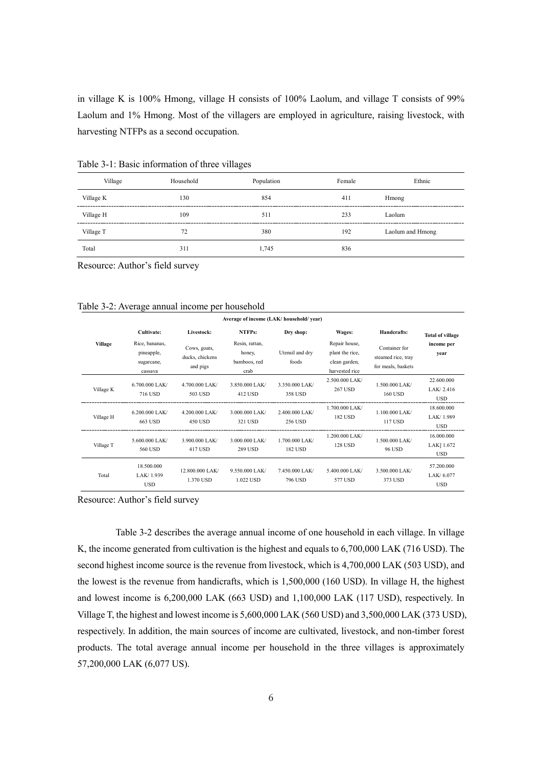in village K is 100% Hmong, village H consists of 100% Laolum, and village T consists of 99% Laolum and 1% Hmong. Most of the villagers are employed in agriculture, raising livestock, with harvesting NTFPs as a second occupation.

| Village   | Household | Population | Female | Ethnic           |
|-----------|-----------|------------|--------|------------------|
| Village K | 130       | 854        | 411    | Hmong            |
| Village H | 109       | 511        | 233    | Laolum           |
| Village T | 72        | 380        | 192    | Laolum and Hmong |
| Total     | 311       | 1.745      | 836    |                  |

Table 3-1: Basic information of three villages

Resource: Author's field survey

| Table 3-2: Average annual income per household |  |
|------------------------------------------------|--|
|                                                |  |

|                | Average of income (LAK/ household/ year)              |                                             |                                                  |                                  |                                                                     |                                                           |                                       |
|----------------|-------------------------------------------------------|---------------------------------------------|--------------------------------------------------|----------------------------------|---------------------------------------------------------------------|-----------------------------------------------------------|---------------------------------------|
|                | Cultivate:                                            | Livestock:                                  | NTFPs:                                           | Dry shop:                        | Wages:                                                              | Handcrafts:                                               | <b>Total of village</b>               |
| <b>Village</b> | Rice, bananas,<br>pineapple,<br>sugarcane,<br>cassava | Cows, goats,<br>ducks, chickens<br>and pigs | Resin, rattan,<br>honey,<br>bamboos, red<br>crab | Utensil and dry<br>foods         | Repair house,<br>plant the rice,<br>clean garden,<br>harvested rice | Container for<br>steamed rice, tray<br>for meals, baskets | income per<br>vear                    |
| Village K      | $6.700.000$ LAK/<br>716 USD                           | 4.700.000 LAK/<br>503 USD                   | 3.850.000 LAK/<br>412 USD                        | 3.350.000 LAK/<br>358 USD        | 2.500.000 LAK/<br>267 USD                                           | 1.500,000 LAK/<br>160 USD                                 | 22.600.000<br>LAK/2.416<br><b>USD</b> |
| Village H      | $6.200.000$ LAK/<br>663 USD                           | 4.200.000 LAK/<br>450 USD                   | 3.000.000 LAK/<br>321 USD                        | 2.400.000 LAK/<br>256 USD        | 1.700.000 LAK/<br><b>182 USD</b>                                    | $1.100.000$ LAK/<br>117 USD                               | 18.600.000<br>LAK/1.989<br><b>USD</b> |
| Village T      | 5.600.000 LAK/<br>560 USD                             | 3.900.000 LAK/<br>417 USD                   | 3.000.000 LAK/<br>289 USD                        | 1.700,000 LAK/<br><b>182 USD</b> | 1.200.000 LAK/<br><b>128 USD</b>                                    | $1.500.000$ LAK/<br>96 USD                                | 16.000.000<br>LAK 1.672<br>USD        |
| Total          | 18.500.000<br>LAK/ 1.939<br><b>USD</b>                | 12.800.000 LAK/<br>1.370 USD                | 9.550.000 LAK/<br>1.022 USD                      | 7.450.000 LAK/<br>796 USD        | 5.400.000 LAK/<br>577 USD                                           | 3.500,000 LAK/<br>373 USD                                 | 57.200.000<br>LAK/6.077<br><b>USD</b> |

Resource: Author's field survey

Table 3-2 describes the average annual income of one household in each village. In village K, the income generated from cultivation is the highest and equals to 6,700,000 LAK (716 USD). The second highest income source is the revenue from livestock, which is 4,700,000 LAK (503 USD), and the lowest is the revenue from handicrafts, which is 1,500,000 (160 USD). In village H, the highest and lowest income is 6,200,000 LAK (663 USD) and 1,100,000 LAK (117 USD), respectively. In Village T, the highest and lowest income is 5,600,000 LAK (560 USD) and 3,500,000 LAK (373 USD), respectively. In addition, the main sources of income are cultivated, livestock, and non-timber forest products. The total average annual income per household in the three villages is approximately 57,200,000 LAK (6,077 US).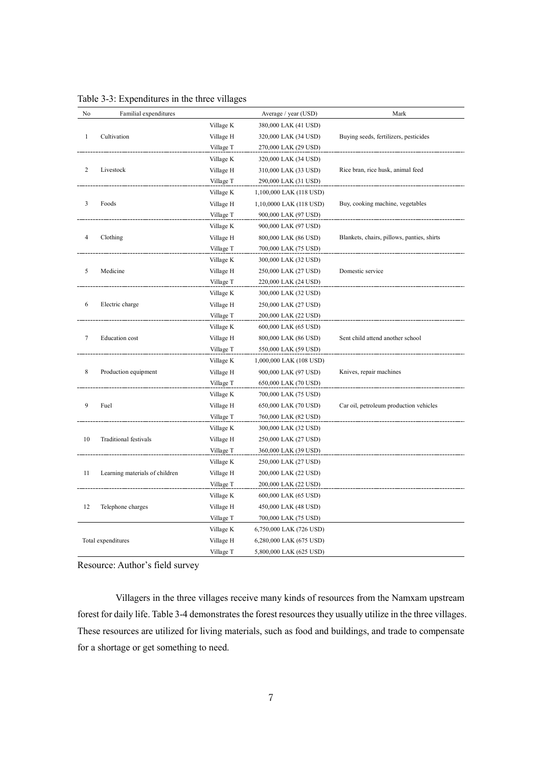| No             | Familial expenditures          |           | Average / year (USD)    | Mark                                       |
|----------------|--------------------------------|-----------|-------------------------|--------------------------------------------|
|                |                                | Village K | 380,000 LAK (41 USD)    |                                            |
| $\mathbf{1}$   | Cultivation                    | Village H | 320,000 LAK (34 USD)    | Buying seeds, fertilizers, pesticides      |
|                |                                | Village T | 270,000 LAK (29 USD)    |                                            |
|                |                                | Village K | 320,000 LAK (34 USD)    |                                            |
| $\overline{2}$ | Livestock                      | Village H | 310,000 LAK (33 USD)    | Rice bran, rice husk, animal feed          |
|                |                                | Village T | 290,000 LAK (31 USD)    |                                            |
|                |                                | Village K | 1,100,000 LAK (118 USD) |                                            |
| 3              | Foods                          | Village H | 1,10,0000 LAK (118 USD) | Buy, cooking machine, vegetables           |
|                |                                | Village T | 900,000 LAK (97 USD)    |                                            |
|                |                                | Village K | 900,000 LAK (97 USD)    |                                            |
| $\overline{4}$ | Clothing                       | Village H | 800,000 LAK (86 USD)    | Blankets, chairs, pillows, panties, shirts |
|                |                                | Village T | 700,000 LAK (75 USD)    |                                            |
|                |                                | Village K | 300,000 LAK (32 USD)    |                                            |
| 5              | Medicine                       | Village H | 250,000 LAK (27 USD)    | Domestic service                           |
|                |                                | Village T | 220,000 LAK (24 USD)    |                                            |
|                |                                | Village K | 300,000 LAK (32 USD)    |                                            |
| 6              | Electric charge                | Village H | 250,000 LAK (27 USD)    |                                            |
|                |                                | Village T | 200,000 LAK (22 USD)    |                                            |
|                |                                | Village K | 600,000 LAK (65 USD)    |                                            |
| $\tau$         | <b>Education</b> cost          | Village H | 800,000 LAK (86 USD)    | Sent child attend another school           |
|                |                                | Village T | 550,000 LAK (59 USD)    |                                            |
|                |                                | Village K | 1,000,000 LAK (108 USD) |                                            |
| 8              | Production equipment           | Village H | 900,000 LAK (97 USD)    | Knives, repair machines                    |
|                |                                | Village T | 650,000 LAK (70 USD)    |                                            |
|                |                                | Village K | 700,000 LAK (75 USD)    |                                            |
| 9              | Fuel                           | Village H | 650,000 LAK (70 USD)    | Car oil, petroleum production vehicles     |
|                |                                | Village T | 760,000 LAK (82 USD)    |                                            |
|                |                                | Village K | 300,000 LAK (32 USD)    |                                            |
| 10             | <b>Traditional festivals</b>   | Village H | 250,000 LAK (27 USD)    |                                            |
|                |                                | Village T | 360,000 LAK (39 USD)    |                                            |
|                |                                | Village K | 250,000 LAK (27 USD)    |                                            |
| 11             | Learning materials of children | Village H | 200,000 LAK (22 USD)    |                                            |
|                |                                | Village T | 200,000 LAK (22 USD)    |                                            |
|                |                                | Village K | 600,000 LAK (65 USD)    |                                            |
| 12             | Telephone charges              | Village H | 450,000 LAK (48 USD)    |                                            |
|                |                                | Village T | 700,000 LAK (75 USD)    |                                            |
|                |                                | Village K | 6,750,000 LAK (726 USD) |                                            |
|                | Total expenditures             | Village H | 6,280,000 LAK (675 USD) |                                            |
|                |                                | Village T | 5,800,000 LAK (625 USD) |                                            |

Table 3-3: Expenditures in the three villages

Resource: Author's field survey

Villagers in the three villages receive many kinds of resources from the Namxam upstream forest for daily life. Table 3-4 demonstrates the forest resources they usually utilize in the three villages. These resources are utilized for living materials, such as food and buildings, and trade to compensate for a shortage or get something to need.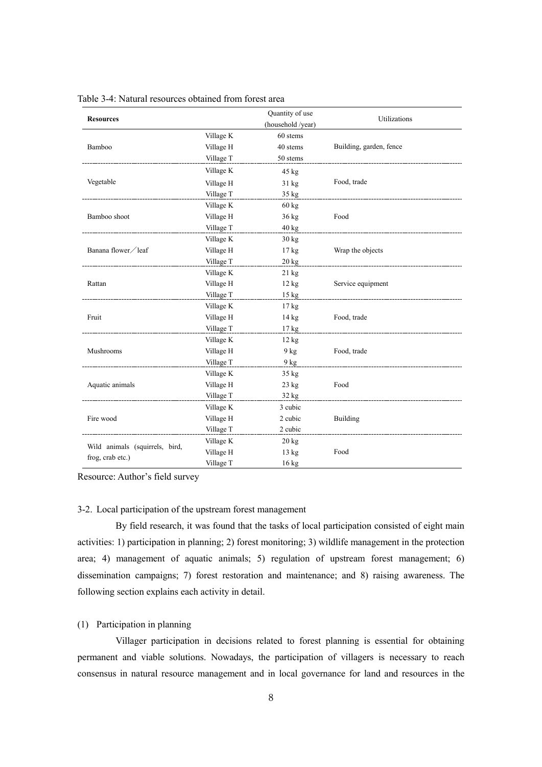| <b>Resources</b>               |           | Quantity of use<br>(household /year) | Utilizations                          |
|--------------------------------|-----------|--------------------------------------|---------------------------------------|
|                                | Village K | 60 stems                             |                                       |
| Bamboo                         | Village H | 40 stems                             | Building, garden, fence               |
|                                | Village T | 50 stems                             |                                       |
|                                | Village K | $45 \text{ kg}$                      |                                       |
| Vegetable                      | Village H | $31 \text{ kg}$                      | Food, trade                           |
|                                | Village T | $35 \text{ kg}$                      |                                       |
|                                | Village K | $60 \text{ kg}$                      |                                       |
| Bamboo shoot                   | Village H | $36 \text{ kg}$                      | Food                                  |
|                                | Village T | $40 \text{ kg}$                      |                                       |
|                                | Village K | $30 \text{ kg}$                      |                                       |
| Banana flower / leaf           | Village H | $17 \text{ kg}$                      | Wrap the objects                      |
|                                | Village T | $20 \text{ kg}$                      |                                       |
|                                | Village K | $21 \text{ kg}$                      |                                       |
| Rattan                         | Village H | 12 kg                                | Service equipment                     |
|                                | Village T | $15 \text{ kg}$                      |                                       |
|                                | Village K | $17 \text{ kg}$                      |                                       |
| Fruit                          | Village H | $14 \text{ kg}$                      | Food, trade                           |
|                                | Village T | $17 \text{ kg}$                      |                                       |
|                                | Village K | $12 \text{ kg}$                      |                                       |
| Mushrooms                      | Village H | $9$ kg                               | Food, trade                           |
|                                | Village T | $9$ kg                               |                                       |
|                                | Village K | $35 \text{ kg}$                      |                                       |
| Aquatic animals                | Village H | $23 \text{ kg}$                      | Food                                  |
|                                | Village T | 32 kg                                | ------------------------------------- |
|                                | Village K | 3 cubic                              |                                       |
| Fire wood                      | Village H | 2 cubic                              | Building                              |
|                                | Village T | 2 cubic                              |                                       |
|                                | Village K | $20 \text{ kg}$                      |                                       |
| Wild animals (squirrels, bird, | Village H | $13 \text{ kg}$                      | Food                                  |
| frog, crab etc.)               | Village T | $16 \text{ kg}$                      |                                       |

Table 3-4: Natural resources obtained from forest area

Resource: Author's field survey

# 3-2. Local participation of the upstream forest management

By field research, it was found that the tasks of local participation consisted of eight main activities: 1) participation in planning; 2) forest monitoring; 3) wildlife management in the protection area; 4) management of aquatic animals; 5) regulation of upstream forest management; 6) dissemination campaigns; 7) forest restoration and maintenance; and 8) raising awareness. The following section explains each activity in detail.

# (1) Participation in planning

Villager participation in decisions related to forest planning is essential for obtaining permanent and viable solutions. Nowadays, the participation of villagers is necessary to reach consensus in natural resource management and in local governance for land and resources in the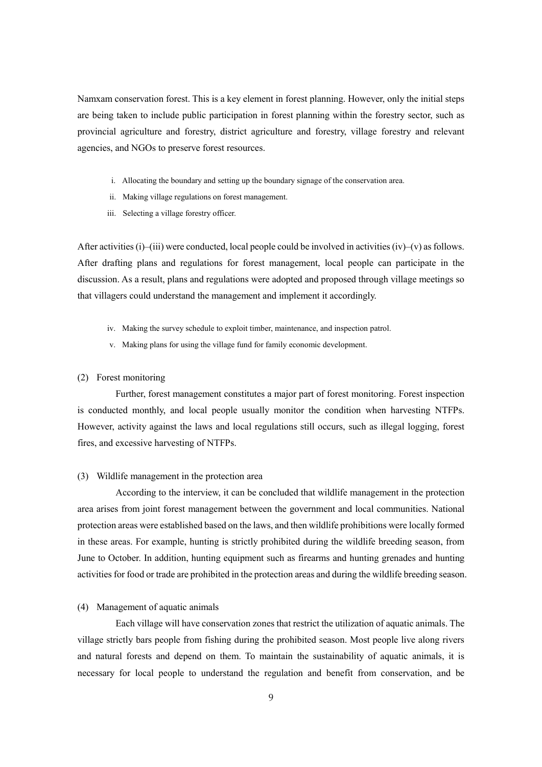Namxam conservation forest. This is a key element in forest planning. However, only the initial steps are being taken to include public participation in forest planning within the forestry sector, such as provincial agriculture and forestry, district agriculture and forestry, village forestry and relevant agencies, and NGOs to preserve forest resources.

- i. Allocating the boundary and setting up the boundary signage of the conservation area.
- ii. Making village regulations on forest management.
- iii. Selecting a village forestry officer.

After activities (i)–(iii) were conducted, local people could be involved in activities (iv)–(v) as follows. After drafting plans and regulations for forest management, local people can participate in the discussion. As a result, plans and regulations were adopted and proposed through village meetings so that villagers could understand the management and implement it accordingly.

- iv. Making the survey schedule to exploit timber, maintenance, and inspection patrol.
- v. Making plans for using the village fund for family economic development.

#### (2) Forest monitoring

Further, forest management constitutes a major part of forest monitoring. Forest inspection is conducted monthly, and local people usually monitor the condition when harvesting NTFPs. However, activity against the laws and local regulations still occurs, such as illegal logging, forest fires, and excessive harvesting of NTFPs.

### (3) Wildlife management in the protection area

According to the interview, it can be concluded that wildlife management in the protection area arises from joint forest management between the government and local communities. National protection areas were established based on the laws, and then wildlife prohibitions were locally formed in these areas. For example, hunting is strictly prohibited during the wildlife breeding season, from June to October. In addition, hunting equipment such as firearms and hunting grenades and hunting activities for food or trade are prohibited in the protection areas and during the wildlife breeding season.

### (4) Management of aquatic animals

Each village will have conservation zones that restrict the utilization of aquatic animals. The village strictly bars people from fishing during the prohibited season. Most people live along rivers and natural forests and depend on them. To maintain the sustainability of aquatic animals, it is necessary for local people to understand the regulation and benefit from conservation, and be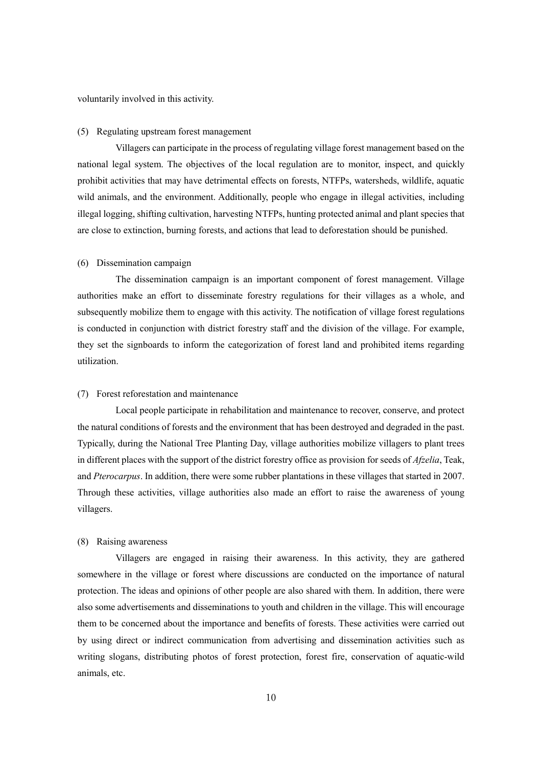voluntarily involved in this activity.

#### (5) Regulating upstream forest management

Villagers can participate in the process of regulating village forest management based on the national legal system. The objectives of the local regulation are to monitor, inspect, and quickly prohibit activities that may have detrimental effects on forests, NTFPs, watersheds, wildlife, aquatic wild animals, and the environment. Additionally, people who engage in illegal activities, including illegal logging, shifting cultivation, harvesting NTFPs, hunting protected animal and plant species that are close to extinction, burning forests, and actions that lead to deforestation should be punished.

### (6) Dissemination campaign

The dissemination campaign is an important component of forest management. Village authorities make an effort to disseminate forestry regulations for their villages as a whole, and subsequently mobilize them to engage with this activity. The notification of village forest regulations is conducted in conjunction with district forestry staff and the division of the village. For example, they set the signboards to inform the categorization of forest land and prohibited items regarding utilization.

## (7) Forest reforestation and maintenance

Local people participate in rehabilitation and maintenance to recover, conserve, and protect the natural conditions of forests and the environment that has been destroyed and degraded in the past. Typically, during the National Tree Planting Day, village authorities mobilize villagers to plant trees in different places with the support of the district forestry office as provision for seeds of *Afzelia*, Teak, and *Pterocarpus*. In addition, there were some rubber plantations in these villages that started in 2007. Through these activities, village authorities also made an effort to raise the awareness of young villagers.

## (8) Raising awareness

Villagers are engaged in raising their awareness. In this activity, they are gathered somewhere in the village or forest where discussions are conducted on the importance of natural protection. The ideas and opinions of other people are also shared with them. In addition, there were also some advertisements and disseminations to youth and children in the village. This will encourage them to be concerned about the importance and benefits of forests. These activities were carried out by using direct or indirect communication from advertising and dissemination activities such as writing slogans, distributing photos of forest protection, forest fire, conservation of aquatic-wild animals, etc.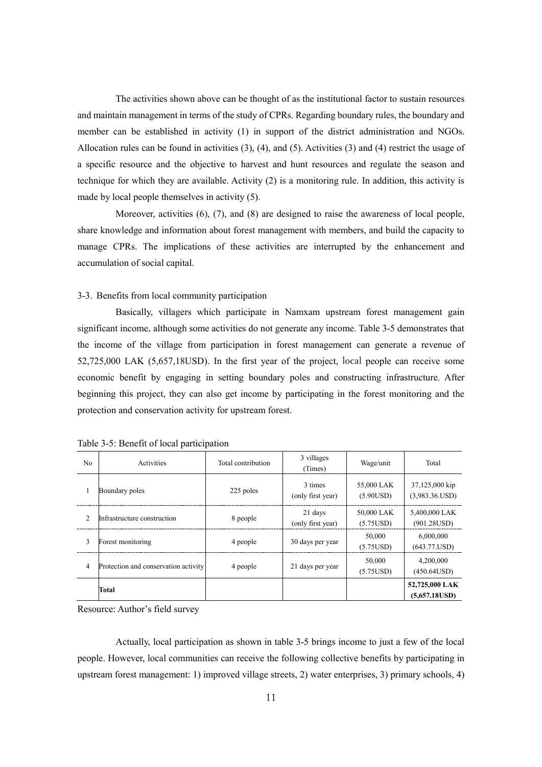The activities shown above can be thought of as the institutional factor to sustain resources and maintain management in terms of the study of CPRs. Regarding boundary rules, the boundary and member can be established in activity (1) in support of the district administration and NGOs. Allocation rules can be found in activities (3), (4), and (5). Activities (3) and (4) restrict the usage of a specific resource and the objective to harvest and hunt resources and regulate the season and technique for which they are available. Activity (2) is a monitoring rule. In addition, this activity is made by local people themselves in activity (5).

Moreover, activities (6), (7), and (8) are designed to raise the awareness of local people, share knowledge and information about forest management with members, and build the capacity to manage CPRs. The implications of these activities are interrupted by the enhancement and accumulation of social capital.

# 3-3. Benefits from local community participation

Basically, villagers which participate in Namxam upstream forest management gain significant income, although some activities do not generate any income. Table 3-5 demonstrates that the income of the village from participation in forest management can generate a revenue of 52,725,000 LAK (5,657,18USD). In the first year of the project, local people can receive some economic benefit by engaging in setting boundary poles and constructing infrastructure. After beginning this project, they can also get income by participating in the forest monitoring and the protection and conservation activity for upstream forest.

| No             | Activities                           | Total contribution | 3 villages<br>(Times)        | Wage/unit               | Total                            |
|----------------|--------------------------------------|--------------------|------------------------------|-------------------------|----------------------------------|
|                | Boundary poles                       | 225 poles          | 3 times<br>(only first year) | 55,000 LAK<br>(5.90USD) | 37,125,000 kip<br>(3,983.36.USD) |
| $\mathfrak{D}$ | Infrastructure construction          | 8 people           | 21 days<br>(only first year) | 50,000 LAK<br>(5.75USD) | 5,400,000 LAK<br>(901.28USD)     |
| 3              | Forest monitoring                    | 4 people           | 30 days per year             | 50,000<br>(5.75USD)     | 6,000,000<br>(643.77.USD)        |
| 4              | Protection and conservation activity | 4 people           | 21 days per year             | 50,000<br>(5.75USD)     | 4,200,000<br>(450.64USD)         |
|                | Total                                |                    |                              |                         | 52,725,000 LAK<br>(5,657.18USD)  |

Table 3-5: Benefit of local participation

Resource: Author's field survey

Actually, local participation as shown in table 3-5 brings income to just a few of the local people. However, local communities can receive the following collective benefits by participating in upstream forest management: 1) improved village streets, 2) water enterprises, 3) primary schools, 4)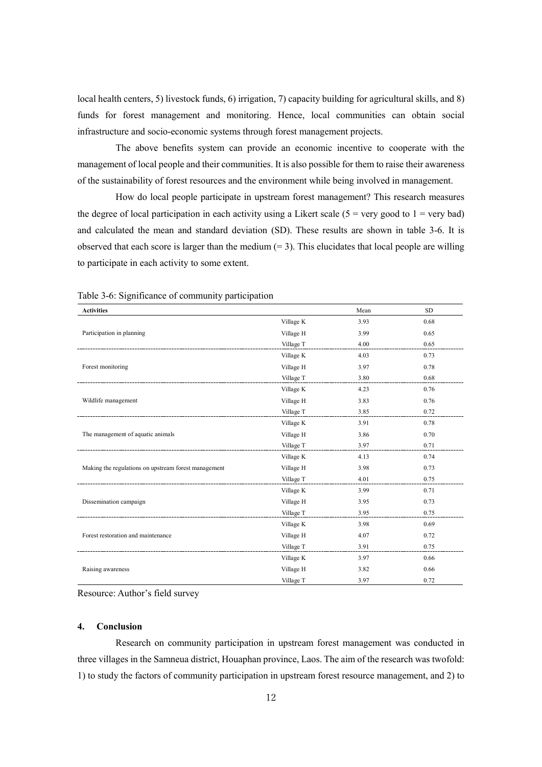local health centers, 5) livestock funds, 6) irrigation, 7) capacity building for agricultural skills, and 8) funds for forest management and monitoring. Hence, local communities can obtain social infrastructure and socio-economic systems through forest management projects.

The above benefits system can provide an economic incentive to cooperate with the management of local people and their communities. It is also possible for them to raise their awareness of the sustainability of forest resources and the environment while being involved in management.

How do local people participate in upstream forest management? This research measures the degree of local participation in each activity using a Likert scale ( $5$  = very good to  $1$  = very bad) and calculated the mean and standard deviation (SD). These results are shown in table 3-6. It is observed that each score is larger than the medium  $(= 3)$ . This elucidates that local people are willing to participate in each activity to some extent.

| <b>Activities</b>                                    |           | Mean | <b>SD</b> |
|------------------------------------------------------|-----------|------|-----------|
|                                                      | Village K | 3.93 | 0.68      |
| Participation in planning                            | Village H | 3.99 | 0.65      |
|                                                      | Village T | 4.00 | 0.65      |
|                                                      | Village K | 4.03 | 0.73      |
| Forest monitoring                                    | Village H | 3.97 | 0.78      |
|                                                      | Village T | 3.80 | 0.68      |
|                                                      | Village K | 4.23 | 0.76      |
| Wildlife management                                  | Village H | 3.83 | 0.76      |
|                                                      | Village T | 3.85 | 0.72      |
|                                                      | Village K | 3.91 | 0.78      |
| The management of aquatic animals                    | Village H | 3.86 | 0.70      |
|                                                      | Village T | 3.97 | 0.71      |
|                                                      | Village K | 4.13 | 0.74      |
| Making the regulations on upstream forest management | Village H | 3.98 | 0.73      |
|                                                      | Village T | 4.01 | 0.75      |
|                                                      | Village K | 3.99 | 0.71      |
| Dissemination campaign                               | Village H | 3.95 | 0.73      |
|                                                      | Village T | 3.95 | 0.75      |
|                                                      | Village K | 3.98 | 0.69      |
| Forest restoration and maintenance                   | Village H | 4.07 | 0.72      |
|                                                      | Village T | 3.91 | 0.75      |
|                                                      | Village K | 3.97 | 0.66      |
| Raising awareness                                    | Village H | 3.82 | 0.66      |
|                                                      | Village T | 3.97 | 0.72      |

Table 3-6: Significance of community participation

Resource: Author's field survey

### **4. Conclusion**

Research on community participation in upstream forest management was conducted in three villages in the Samneua district, Houaphan province, Laos. The aim of the research was twofold: 1) to study the factors of community participation in upstream forest resource management, and 2) to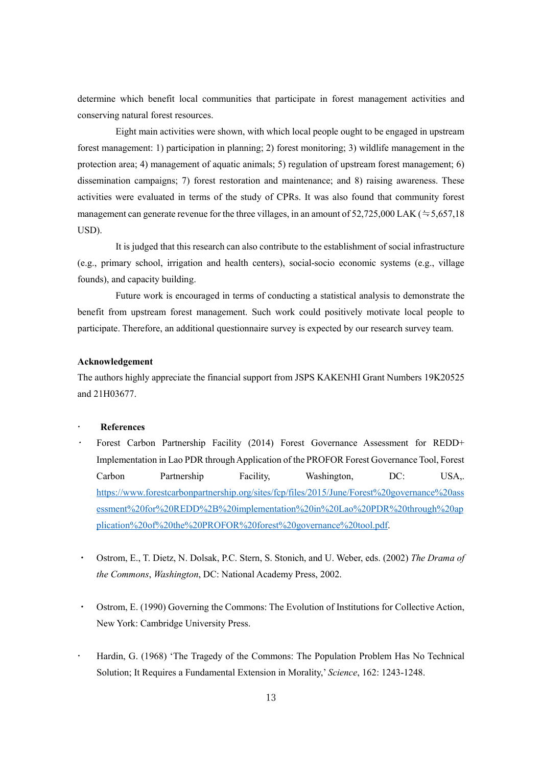determine which benefit local communities that participate in forest management activities and conserving natural forest resources.

Eight main activities were shown, with which local people ought to be engaged in upstream forest management: 1) participation in planning; 2) forest monitoring; 3) wildlife management in the protection area; 4) management of aquatic animals; 5) regulation of upstream forest management; 6) dissemination campaigns; 7) forest restoration and maintenance; and 8) raising awareness. These activities were evaluated in terms of the study of CPRs. It was also found that community forest management can generate revenue for the three villages, in an amount of  $52,725,000$  LAK ( $\approx$  5,657,18 USD).

It is judged that this research can also contribute to the establishment of social infrastructure (e.g., primary school, irrigation and health centers), social-socio economic systems (e.g., village founds), and capacity building.

Future work is encouraged in terms of conducting a statistical analysis to demonstrate the benefit from upstream forest management. Such work could positively motivate local people to participate. Therefore, an additional questionnaire survey is expected by our research survey team.

### **Acknowledgement**

The authors highly appreciate the financial support from JSPS KAKENHI Grant Numbers 19K20525 and 21H03677.

# **References**

- . Forest Carbon Partnership Facility (2014) Forest Governance Assessment for REDD+ Implementation in Lao PDR through Application of the PROFOR Forest Governance Tool, Forest Carbon Partnership Facility, Washington, DC: USA,. [https://www.forestcarbonpartnership.org/sites/fcp/files/2015/June/Forest%20governance%20ass](https://www.forestcarbonpartnership.org/sites/fcp/files/2015/June/Forest%20governance%20assessment%20for%20REDD%2B%20implementation%20in%20Lao%20PDR%20through%20application%20of%20the%20PROFOR%20forest%20governance%20tool.pdf) [essment%20for%20REDD%2B%20implementation%20in%20Lao%20PDR%20through%20ap](https://www.forestcarbonpartnership.org/sites/fcp/files/2015/June/Forest%20governance%20assessment%20for%20REDD%2B%20implementation%20in%20Lao%20PDR%20through%20application%20of%20the%20PROFOR%20forest%20governance%20tool.pdf) [plication%20of%20the%20PROFOR%20forest%20governance%20tool.pdf.](https://www.forestcarbonpartnership.org/sites/fcp/files/2015/June/Forest%20governance%20assessment%20for%20REDD%2B%20implementation%20in%20Lao%20PDR%20through%20application%20of%20the%20PROFOR%20forest%20governance%20tool.pdf)
- ・ Ostrom, E., T. Dietz, N. Dolsak, P.C. Stern, S. Stonich, and U. Weber, eds. (2002) *The Drama of the Commons*, *Washington*, DC: National Academy Press, 2002.
- ・ Ostrom, E. (1990) Governing the Commons: The Evolution of Institutions for Collective Action, New York: Cambridge University Press.
- Hardin, G. (1968) 'The Tragedy of the Commons: The Population Problem Has No Technical Solution; It Requires a Fundamental Extension in Morality,' *Science*, 162: 1243-1248.